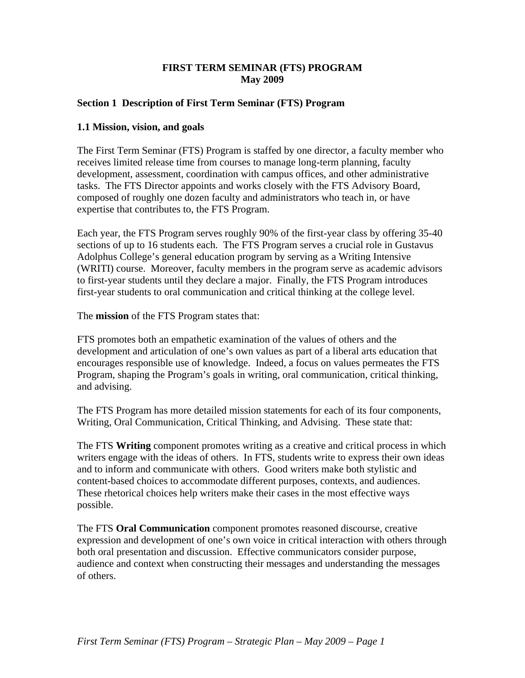### **FIRST TERM SEMINAR (FTS) PROGRAM May 2009**

### **Section 1 Description of First Term Seminar (FTS) Program**

### **1.1 Mission, vision, and goals**

The First Term Seminar (FTS) Program is staffed by one director, a faculty member who receives limited release time from courses to manage long-term planning, faculty development, assessment, coordination with campus offices, and other administrative tasks. The FTS Director appoints and works closely with the FTS Advisory Board, composed of roughly one dozen faculty and administrators who teach in, or have expertise that contributes to, the FTS Program.

Each year, the FTS Program serves roughly 90% of the first-year class by offering 35-40 sections of up to 16 students each. The FTS Program serves a crucial role in Gustavus Adolphus College's general education program by serving as a Writing Intensive (WRITI) course. Moreover, faculty members in the program serve as academic advisors to first-year students until they declare a major. Finally, the FTS Program introduces first-year students to oral communication and critical thinking at the college level.

The **mission** of the FTS Program states that:

FTS promotes both an empathetic examination of the values of others and the development and articulation of one's own values as part of a liberal arts education that encourages responsible use of knowledge. Indeed, a focus on values permeates the FTS Program, shaping the Program's goals in writing, oral communication, critical thinking, and advising.

The FTS Program has more detailed mission statements for each of its four components, Writing, Oral Communication, Critical Thinking, and Advising. These state that:

The FTS **Writing** component promotes writing as a creative and critical process in which writers engage with the ideas of others. In FTS, students write to express their own ideas and to inform and communicate with others. Good writers make both stylistic and content-based choices to accommodate different purposes, contexts, and audiences. These rhetorical choices help writers make their cases in the most effective ways possible.

The FTS **Oral Communication** component promotes reasoned discourse, creative expression and development of one's own voice in critical interaction with others through both oral presentation and discussion. Effective communicators consider purpose, audience and context when constructing their messages and understanding the messages of others.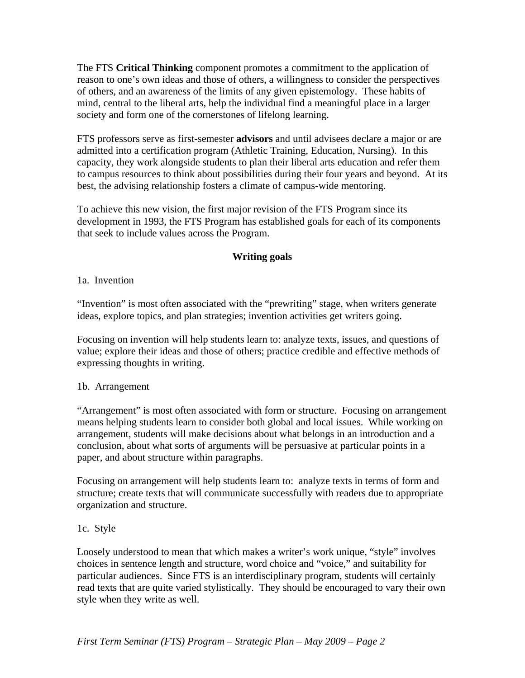The FTS **Critical Thinking** component promotes a commitment to the application of reason to one's own ideas and those of others, a willingness to consider the perspectives of others, and an awareness of the limits of any given epistemology. These habits of mind, central to the liberal arts, help the individual find a meaningful place in a larger society and form one of the cornerstones of lifelong learning.

FTS professors serve as first-semester **advisors** and until advisees declare a major or are admitted into a certification program (Athletic Training, Education, Nursing). In this capacity, they work alongside students to plan their liberal arts education and refer them to campus resources to think about possibilities during their four years and beyond. At its best, the advising relationship fosters a climate of campus-wide mentoring.

To achieve this new vision, the first major revision of the FTS Program since its development in 1993, the FTS Program has established goals for each of its components that seek to include values across the Program.

# **Writing goals**

### 1a. Invention

"Invention" is most often associated with the "prewriting" stage, when writers generate ideas, explore topics, and plan strategies; invention activities get writers going.

Focusing on invention will help students learn to: analyze texts, issues, and questions of value; explore their ideas and those of others; practice credible and effective methods of expressing thoughts in writing.

### 1b. Arrangement

"Arrangement" is most often associated with form or structure. Focusing on arrangement means helping students learn to consider both global and local issues. While working on arrangement, students will make decisions about what belongs in an introduction and a conclusion, about what sorts of arguments will be persuasive at particular points in a paper, and about structure within paragraphs.

Focusing on arrangement will help students learn to: analyze texts in terms of form and structure; create texts that will communicate successfully with readers due to appropriate organization and structure.

## 1c. Style

Loosely understood to mean that which makes a writer's work unique, "style" involves choices in sentence length and structure, word choice and "voice," and suitability for particular audiences. Since FTS is an interdisciplinary program, students will certainly read texts that are quite varied stylistically. They should be encouraged to vary their own style when they write as well.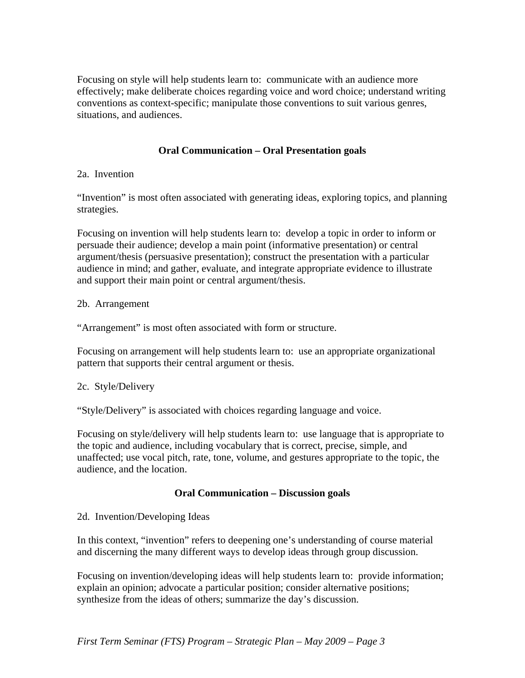Focusing on style will help students learn to: communicate with an audience more effectively; make deliberate choices regarding voice and word choice; understand writing conventions as context-specific; manipulate those conventions to suit various genres, situations, and audiences.

## **Oral Communication – Oral Presentation goals**

## 2a. Invention

"Invention" is most often associated with generating ideas, exploring topics, and planning strategies.

Focusing on invention will help students learn to: develop a topic in order to inform or persuade their audience; develop a main point (informative presentation) or central argument/thesis (persuasive presentation); construct the presentation with a particular audience in mind; and gather, evaluate, and integrate appropriate evidence to illustrate and support their main point or central argument/thesis.

### 2b. Arrangement

"Arrangement" is most often associated with form or structure.

Focusing on arrangement will help students learn to: use an appropriate organizational pattern that supports their central argument or thesis.

## 2c. Style/Delivery

"Style/Delivery" is associated with choices regarding language and voice.

Focusing on style/delivery will help students learn to: use language that is appropriate to the topic and audience, including vocabulary that is correct, precise, simple, and unaffected; use vocal pitch, rate, tone, volume, and gestures appropriate to the topic, the audience, and the location.

## **Oral Communication – Discussion goals**

### 2d. Invention/Developing Ideas

In this context, "invention" refers to deepening one's understanding of course material and discerning the many different ways to develop ideas through group discussion.

Focusing on invention/developing ideas will help students learn to: provide information; explain an opinion; advocate a particular position; consider alternative positions; synthesize from the ideas of others; summarize the day's discussion.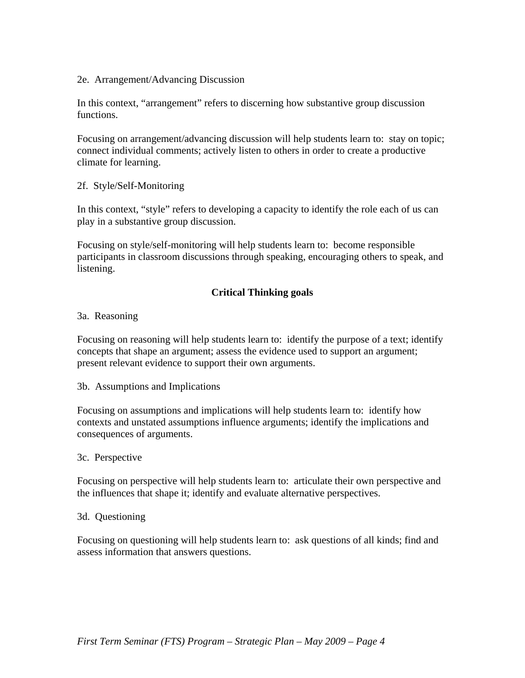### 2e. Arrangement/Advancing Discussion

In this context, "arrangement" refers to discerning how substantive group discussion functions.

Focusing on arrangement/advancing discussion will help students learn to: stay on topic; connect individual comments; actively listen to others in order to create a productive climate for learning.

### 2f. Style/Self-Monitoring

In this context, "style" refers to developing a capacity to identify the role each of us can play in a substantive group discussion.

Focusing on style/self-monitoring will help students learn to: become responsible participants in classroom discussions through speaking, encouraging others to speak, and listening.

# **Critical Thinking goals**

### 3a. Reasoning

Focusing on reasoning will help students learn to: identify the purpose of a text; identify concepts that shape an argument; assess the evidence used to support an argument; present relevant evidence to support their own arguments.

3b. Assumptions and Implications

Focusing on assumptions and implications will help students learn to: identify how contexts and unstated assumptions influence arguments; identify the implications and consequences of arguments.

### 3c. Perspective

Focusing on perspective will help students learn to: articulate their own perspective and the influences that shape it; identify and evaluate alternative perspectives.

### 3d. Questioning

Focusing on questioning will help students learn to: ask questions of all kinds; find and assess information that answers questions.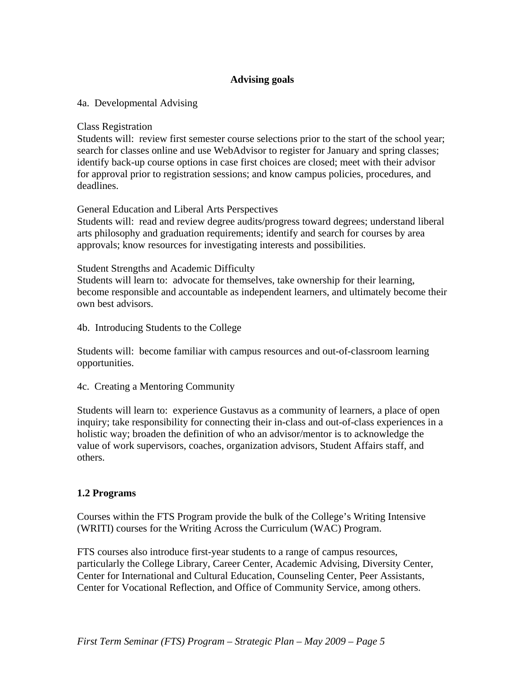## **Advising goals**

4a. Developmental Advising

Class Registration

Students will: review first semester course selections prior to the start of the school year; search for classes online and use WebAdvisor to register for January and spring classes; identify back-up course options in case first choices are closed; meet with their advisor for approval prior to registration sessions; and know campus policies, procedures, and deadlines.

General Education and Liberal Arts Perspectives

Students will: read and review degree audits/progress toward degrees; understand liberal arts philosophy and graduation requirements; identify and search for courses by area approvals; know resources for investigating interests and possibilities.

Student Strengths and Academic Difficulty

Students will learn to: advocate for themselves, take ownership for their learning, become responsible and accountable as independent learners, and ultimately become their own best advisors.

4b. Introducing Students to the College

Students will: become familiar with campus resources and out-of-classroom learning opportunities.

4c. Creating a Mentoring Community

Students will learn to: experience Gustavus as a community of learners, a place of open inquiry; take responsibility for connecting their in-class and out-of-class experiences in a holistic way; broaden the definition of who an advisor/mentor is to acknowledge the value of work supervisors, coaches, organization advisors, Student Affairs staff, and others.

## **1.2 Programs**

Courses within the FTS Program provide the bulk of the College's Writing Intensive (WRITI) courses for the Writing Across the Curriculum (WAC) Program.

FTS courses also introduce first-year students to a range of campus resources, particularly the College Library, Career Center, Academic Advising, Diversity Center, Center for International and Cultural Education, Counseling Center, Peer Assistants, Center for Vocational Reflection, and Office of Community Service, among others.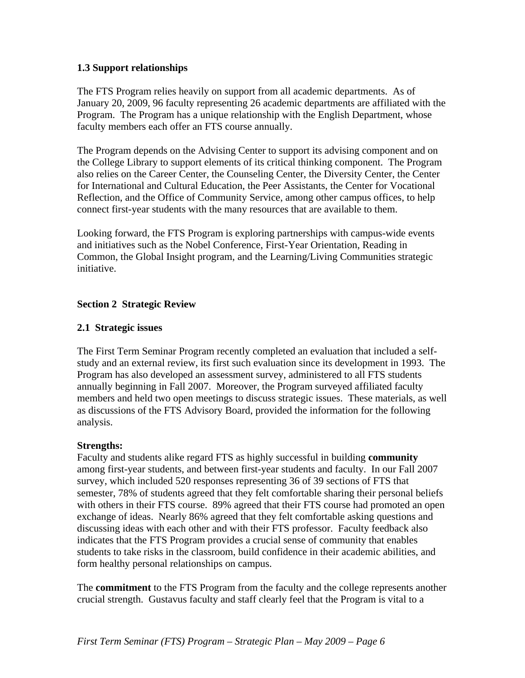### **1.3 Support relationships**

The FTS Program relies heavily on support from all academic departments. As of January 20, 2009, 96 faculty representing 26 academic departments are affiliated with the Program. The Program has a unique relationship with the English Department, whose faculty members each offer an FTS course annually.

The Program depends on the Advising Center to support its advising component and on the College Library to support elements of its critical thinking component. The Program also relies on the Career Center, the Counseling Center, the Diversity Center, the Center for International and Cultural Education, the Peer Assistants, the Center for Vocational Reflection, and the Office of Community Service, among other campus offices, to help connect first-year students with the many resources that are available to them.

Looking forward, the FTS Program is exploring partnerships with campus-wide events and initiatives such as the Nobel Conference, First-Year Orientation, Reading in Common, the Global Insight program, and the Learning/Living Communities strategic initiative.

### **Section 2 Strategic Review**

### **2.1 Strategic issues**

The First Term Seminar Program recently completed an evaluation that included a selfstudy and an external review, its first such evaluation since its development in 1993. The Program has also developed an assessment survey, administered to all FTS students annually beginning in Fall 2007. Moreover, the Program surveyed affiliated faculty members and held two open meetings to discuss strategic issues. These materials, as well as discussions of the FTS Advisory Board, provided the information for the following analysis.

### **Strengths:**

Faculty and students alike regard FTS as highly successful in building **community** among first-year students, and between first-year students and faculty. In our Fall 2007 survey, which included 520 responses representing 36 of 39 sections of FTS that semester, 78% of students agreed that they felt comfortable sharing their personal beliefs with others in their FTS course. 89% agreed that their FTS course had promoted an open exchange of ideas. Nearly 86% agreed that they felt comfortable asking questions and discussing ideas with each other and with their FTS professor. Faculty feedback also indicates that the FTS Program provides a crucial sense of community that enables students to take risks in the classroom, build confidence in their academic abilities, and form healthy personal relationships on campus.

The **commitment** to the FTS Program from the faculty and the college represents another crucial strength. Gustavus faculty and staff clearly feel that the Program is vital to a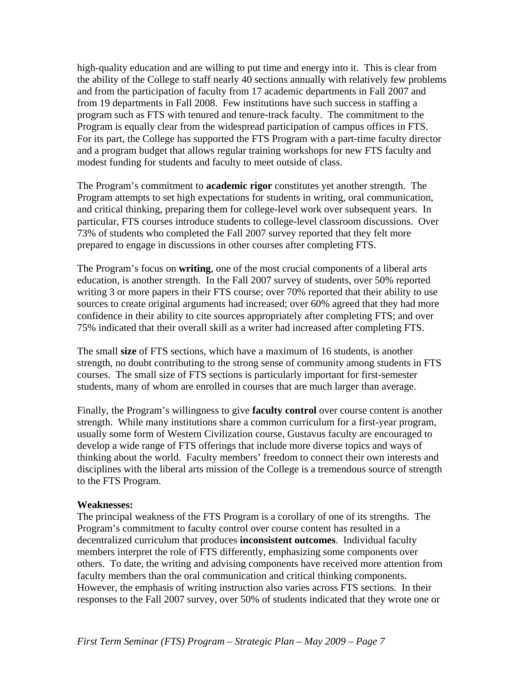high-quality education and are willing to put time and energy into it. This is clear from the ability of the College to staff nearly 40 sections annually with relatively few problems and from the participation of faculty from 17 academic departments in Fall 2007 and from 19 departments in Fall 2008. Few institutions have such success in staffing a program such as FTS with tenured and tenure-track faculty. The commitment to the Program is equally clear from the widespread participation of campus offices in FTS. For its part, the College has supported the FTS Program with a part-time faculty director and a program budget that allows regular training workshops for new FTS faculty and modest funding for students and faculty to meet outside of class.

The Program's commitment to **academic rigor** constitutes yet another strength. The Program attempts to set high expectations for students in writing, oral communication, and critical thinking, preparing them for college-level work over subsequent years. In particular, FTS courses introduce students to college-level classroom discussions. Over 73% of students who completed the Fall 2007 survey reported that they felt more prepared to engage in discussions in other courses after completing FTS.

The Program's focus on **writing**, one of the most crucial components of a liberal arts education, is another strength. In the Fall 2007 survey of students, over 50% reported writing 3 or more papers in their FTS course; over 70% reported that their ability to use sources to create original arguments had increased; over 60% agreed that they had more confidence in their ability to cite sources appropriately after completing FTS; and over 75% indicated that their overall skill as a writer had increased after completing FTS.

The small **size** of FTS sections, which have a maximum of 16 students, is another strength, no doubt contributing to the strong sense of community among students in FTS courses. The small size of FTS sections is particularly important for first-semester students, many of whom are enrolled in courses that are much larger than average.

Finally, the Program's willingness to give **faculty control** over course content is another strength. While many institutions share a common curriculum for a first-year program, usually some form of Western Civilization course, Gustavus faculty are encouraged to develop a wide range of FTS offerings that include more diverse topics and ways of thinking about the world. Faculty members' freedom to connect their own interests and disciplines with the liberal arts mission of the College is a tremendous source of strength to the FTS Program.

#### **Weaknesses:**

The principal weakness of the FTS Program is a corollary of one of its strengths. The Program's commitment to faculty control over course content has resulted in a decentralized curriculum that produces **inconsistent outcomes**. Individual faculty members interpret the role of FTS differently, emphasizing some components over others. To date, the writing and advising components have received more attention from faculty members than the oral communication and critical thinking components. However, the emphasis of writing instruction also varies across FTS sections. In their responses to the Fall 2007 survey, over 50% of students indicated that they wrote one or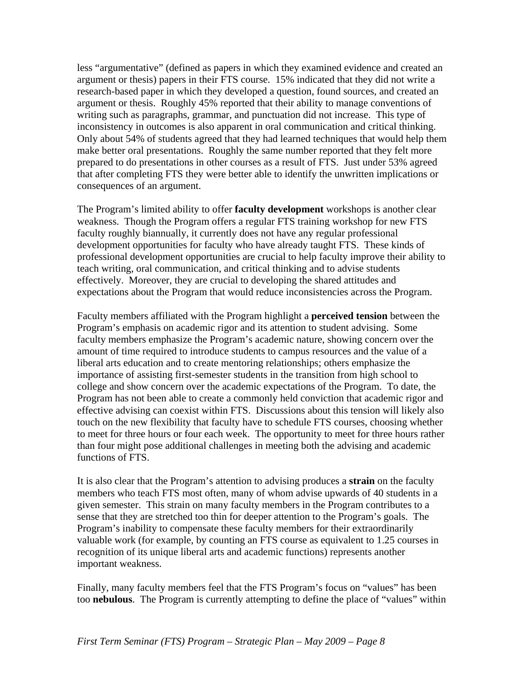less "argumentative" (defined as papers in which they examined evidence and created an argument or thesis) papers in their FTS course. 15% indicated that they did not write a research-based paper in which they developed a question, found sources, and created an argument or thesis. Roughly 45% reported that their ability to manage conventions of writing such as paragraphs, grammar, and punctuation did not increase. This type of inconsistency in outcomes is also apparent in oral communication and critical thinking. Only about 54% of students agreed that they had learned techniques that would help them make better oral presentations. Roughly the same number reported that they felt more prepared to do presentations in other courses as a result of FTS. Just under 53% agreed that after completing FTS they were better able to identify the unwritten implications or consequences of an argument.

The Program's limited ability to offer **faculty development** workshops is another clear weakness. Though the Program offers a regular FTS training workshop for new FTS faculty roughly biannually, it currently does not have any regular professional development opportunities for faculty who have already taught FTS. These kinds of professional development opportunities are crucial to help faculty improve their ability to teach writing, oral communication, and critical thinking and to advise students effectively. Moreover, they are crucial to developing the shared attitudes and expectations about the Program that would reduce inconsistencies across the Program.

Faculty members affiliated with the Program highlight a **perceived tension** between the Program's emphasis on academic rigor and its attention to student advising. Some faculty members emphasize the Program's academic nature, showing concern over the amount of time required to introduce students to campus resources and the value of a liberal arts education and to create mentoring relationships; others emphasize the importance of assisting first-semester students in the transition from high school to college and show concern over the academic expectations of the Program. To date, the Program has not been able to create a commonly held conviction that academic rigor and effective advising can coexist within FTS. Discussions about this tension will likely also touch on the new flexibility that faculty have to schedule FTS courses, choosing whether to meet for three hours or four each week. The opportunity to meet for three hours rather than four might pose additional challenges in meeting both the advising and academic functions of FTS.

It is also clear that the Program's attention to advising produces a **strain** on the faculty members who teach FTS most often, many of whom advise upwards of 40 students in a given semester. This strain on many faculty members in the Program contributes to a sense that they are stretched too thin for deeper attention to the Program's goals. The Program's inability to compensate these faculty members for their extraordinarily valuable work (for example, by counting an FTS course as equivalent to 1.25 courses in recognition of its unique liberal arts and academic functions) represents another important weakness.

Finally, many faculty members feel that the FTS Program's focus on "values" has been too **nebulous**. The Program is currently attempting to define the place of "values" within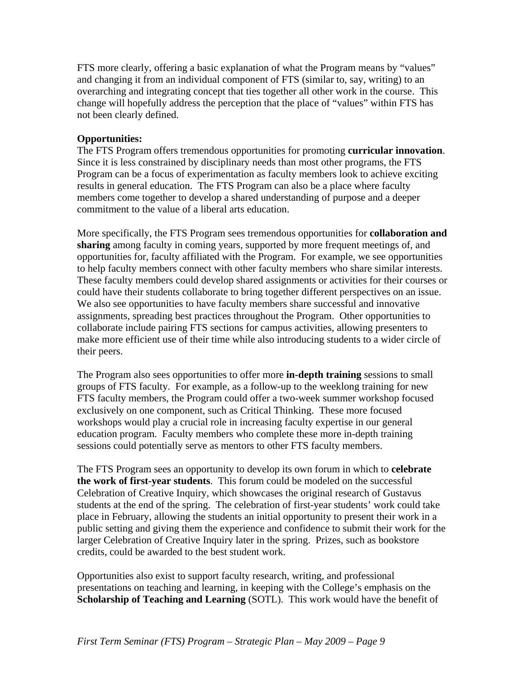FTS more clearly, offering a basic explanation of what the Program means by "values" and changing it from an individual component of FTS (similar to, say, writing) to an overarching and integrating concept that ties together all other work in the course. This change will hopefully address the perception that the place of "values" within FTS has not been clearly defined.

### **Opportunities:**

The FTS Program offers tremendous opportunities for promoting **curricular innovation**. Since it is less constrained by disciplinary needs than most other programs, the FTS Program can be a focus of experimentation as faculty members look to achieve exciting results in general education. The FTS Program can also be a place where faculty members come together to develop a shared understanding of purpose and a deeper commitment to the value of a liberal arts education.

More specifically, the FTS Program sees tremendous opportunities for **collaboration and sharing** among faculty in coming years, supported by more frequent meetings of, and opportunities for, faculty affiliated with the Program. For example, we see opportunities to help faculty members connect with other faculty members who share similar interests. These faculty members could develop shared assignments or activities for their courses or could have their students collaborate to bring together different perspectives on an issue. We also see opportunities to have faculty members share successful and innovative assignments, spreading best practices throughout the Program. Other opportunities to collaborate include pairing FTS sections for campus activities, allowing presenters to make more efficient use of their time while also introducing students to a wider circle of their peers.

The Program also sees opportunities to offer more **in-depth training** sessions to small groups of FTS faculty. For example, as a follow-up to the weeklong training for new FTS faculty members, the Program could offer a two-week summer workshop focused exclusively on one component, such as Critical Thinking. These more focused workshops would play a crucial role in increasing faculty expertise in our general education program. Faculty members who complete these more in-depth training sessions could potentially serve as mentors to other FTS faculty members.

The FTS Program sees an opportunity to develop its own forum in which to **celebrate the work of first-year students**. This forum could be modeled on the successful Celebration of Creative Inquiry, which showcases the original research of Gustavus students at the end of the spring. The celebration of first-year students' work could take place in February, allowing the students an initial opportunity to present their work in a public setting and giving them the experience and confidence to submit their work for the larger Celebration of Creative Inquiry later in the spring. Prizes, such as bookstore credits, could be awarded to the best student work.

Opportunities also exist to support faculty research, writing, and professional presentations on teaching and learning, in keeping with the College's emphasis on the **Scholarship of Teaching and Learning** (SOTL). This work would have the benefit of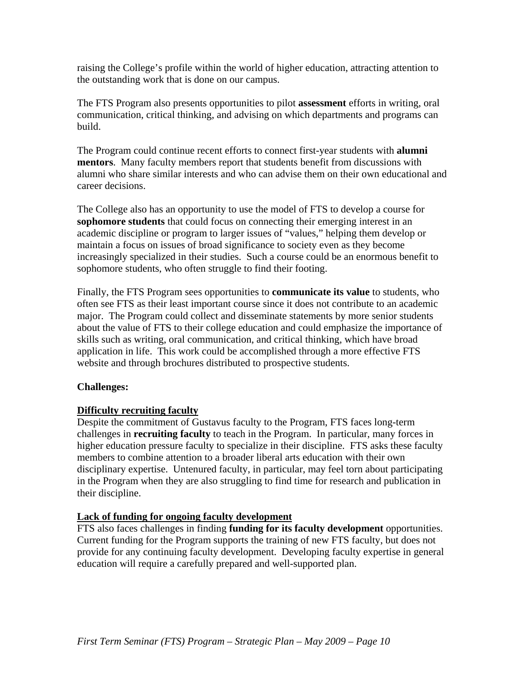raising the College's profile within the world of higher education, attracting attention to the outstanding work that is done on our campus.

The FTS Program also presents opportunities to pilot **assessment** efforts in writing, oral communication, critical thinking, and advising on which departments and programs can build.

The Program could continue recent efforts to connect first-year students with **alumni mentors**. Many faculty members report that students benefit from discussions with alumni who share similar interests and who can advise them on their own educational and career decisions.

The College also has an opportunity to use the model of FTS to develop a course for **sophomore students** that could focus on connecting their emerging interest in an academic discipline or program to larger issues of "values," helping them develop or maintain a focus on issues of broad significance to society even as they become increasingly specialized in their studies. Such a course could be an enormous benefit to sophomore students, who often struggle to find their footing.

Finally, the FTS Program sees opportunities to **communicate its value** to students, who often see FTS as their least important course since it does not contribute to an academic major. The Program could collect and disseminate statements by more senior students about the value of FTS to their college education and could emphasize the importance of skills such as writing, oral communication, and critical thinking, which have broad application in life. This work could be accomplished through a more effective FTS website and through brochures distributed to prospective students.

## **Challenges:**

## **Difficulty recruiting faculty**

Despite the commitment of Gustavus faculty to the Program, FTS faces long-term challenges in **recruiting faculty** to teach in the Program. In particular, many forces in higher education pressure faculty to specialize in their discipline. FTS asks these faculty members to combine attention to a broader liberal arts education with their own disciplinary expertise. Untenured faculty, in particular, may feel torn about participating in the Program when they are also struggling to find time for research and publication in their discipline.

### **Lack of funding for ongoing faculty development**

FTS also faces challenges in finding **funding for its faculty development** opportunities. Current funding for the Program supports the training of new FTS faculty, but does not provide for any continuing faculty development. Developing faculty expertise in general education will require a carefully prepared and well-supported plan.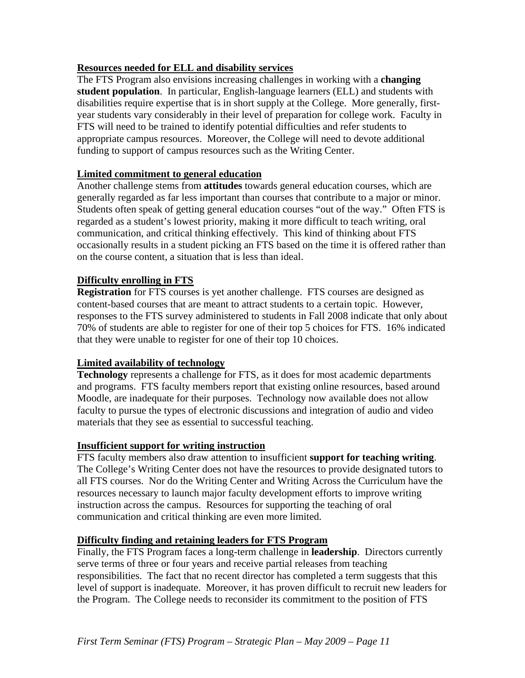## **Resources needed for ELL and disability services**

The FTS Program also envisions increasing challenges in working with a **changing student population**. In particular, English-language learners (ELL) and students with disabilities require expertise that is in short supply at the College. More generally, firstyear students vary considerably in their level of preparation for college work. Faculty in FTS will need to be trained to identify potential difficulties and refer students to appropriate campus resources. Moreover, the College will need to devote additional funding to support of campus resources such as the Writing Center.

# **Limited commitment to general education**

Another challenge stems from **attitudes** towards general education courses, which are generally regarded as far less important than courses that contribute to a major or minor. Students often speak of getting general education courses "out of the way." Often FTS is regarded as a student's lowest priority, making it more difficult to teach writing, oral communication, and critical thinking effectively. This kind of thinking about FTS occasionally results in a student picking an FTS based on the time it is offered rather than on the course content, a situation that is less than ideal.

## **Difficulty enrolling in FTS**

**Registration** for FTS courses is yet another challenge. FTS courses are designed as content-based courses that are meant to attract students to a certain topic. However, responses to the FTS survey administered to students in Fall 2008 indicate that only about 70% of students are able to register for one of their top 5 choices for FTS. 16% indicated that they were unable to register for one of their top 10 choices.

## **Limited availability of technology**

**Technology** represents a challenge for FTS, as it does for most academic departments and programs. FTS faculty members report that existing online resources, based around Moodle, are inadequate for their purposes. Technology now available does not allow faculty to pursue the types of electronic discussions and integration of audio and video materials that they see as essential to successful teaching.

## **Insufficient support for writing instruction**

FTS faculty members also draw attention to insufficient **support for teaching writing**. The College's Writing Center does not have the resources to provide designated tutors to all FTS courses. Nor do the Writing Center and Writing Across the Curriculum have the resources necessary to launch major faculty development efforts to improve writing instruction across the campus. Resources for supporting the teaching of oral communication and critical thinking are even more limited.

## **Difficulty finding and retaining leaders for FTS Program**

Finally, the FTS Program faces a long-term challenge in **leadership**. Directors currently serve terms of three or four years and receive partial releases from teaching responsibilities. The fact that no recent director has completed a term suggests that this level of support is inadequate. Moreover, it has proven difficult to recruit new leaders for the Program. The College needs to reconsider its commitment to the position of FTS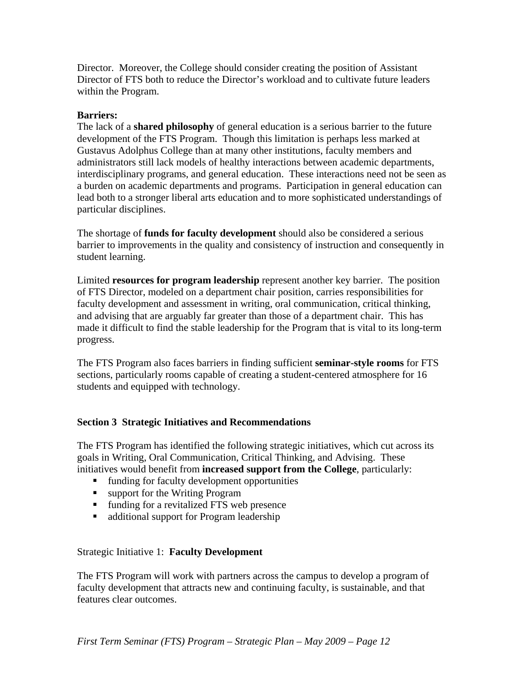Director. Moreover, the College should consider creating the position of Assistant Director of FTS both to reduce the Director's workload and to cultivate future leaders within the Program.

### **Barriers:**

The lack of a **shared philosophy** of general education is a serious barrier to the future development of the FTS Program. Though this limitation is perhaps less marked at Gustavus Adolphus College than at many other institutions, faculty members and administrators still lack models of healthy interactions between academic departments, interdisciplinary programs, and general education. These interactions need not be seen as a burden on academic departments and programs. Participation in general education can lead both to a stronger liberal arts education and to more sophisticated understandings of particular disciplines.

The shortage of **funds for faculty development** should also be considered a serious barrier to improvements in the quality and consistency of instruction and consequently in student learning.

Limited **resources for program leadership** represent another key barrier. The position of FTS Director, modeled on a department chair position, carries responsibilities for faculty development and assessment in writing, oral communication, critical thinking, and advising that are arguably far greater than those of a department chair. This has made it difficult to find the stable leadership for the Program that is vital to its long-term progress.

The FTS Program also faces barriers in finding sufficient **seminar-style rooms** for FTS sections, particularly rooms capable of creating a student-centered atmosphere for 16 students and equipped with technology.

## **Section 3 Strategic Initiatives and Recommendations**

The FTS Program has identified the following strategic initiatives, which cut across its goals in Writing, Oral Communication, Critical Thinking, and Advising. These initiatives would benefit from **increased support from the College**, particularly:

- funding for faculty development opportunities
- support for the Writing Program
- funding for a revitalized FTS web presence
- additional support for Program leadership

### Strategic Initiative 1: **Faculty Development**

The FTS Program will work with partners across the campus to develop a program of faculty development that attracts new and continuing faculty, is sustainable, and that features clear outcomes.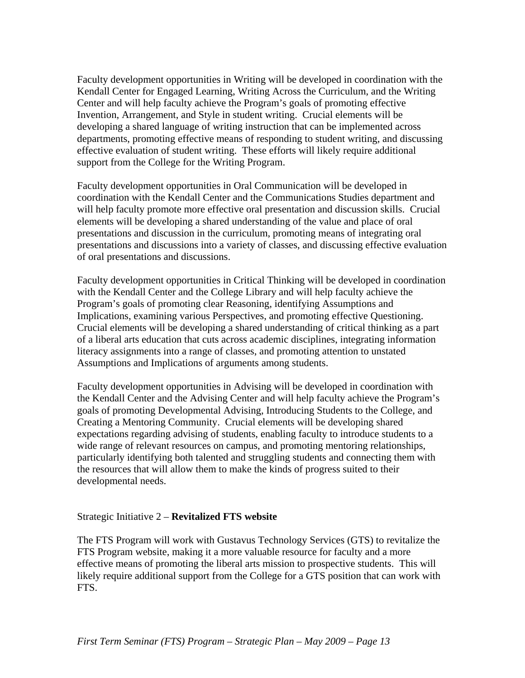Faculty development opportunities in Writing will be developed in coordination with the Kendall Center for Engaged Learning, Writing Across the Curriculum, and the Writing Center and will help faculty achieve the Program's goals of promoting effective Invention, Arrangement, and Style in student writing. Crucial elements will be developing a shared language of writing instruction that can be implemented across departments, promoting effective means of responding to student writing, and discussing effective evaluation of student writing. These efforts will likely require additional support from the College for the Writing Program.

Faculty development opportunities in Oral Communication will be developed in coordination with the Kendall Center and the Communications Studies department and will help faculty promote more effective oral presentation and discussion skills. Crucial elements will be developing a shared understanding of the value and place of oral presentations and discussion in the curriculum, promoting means of integrating oral presentations and discussions into a variety of classes, and discussing effective evaluation of oral presentations and discussions.

Faculty development opportunities in Critical Thinking will be developed in coordination with the Kendall Center and the College Library and will help faculty achieve the Program's goals of promoting clear Reasoning, identifying Assumptions and Implications, examining various Perspectives, and promoting effective Questioning. Crucial elements will be developing a shared understanding of critical thinking as a part of a liberal arts education that cuts across academic disciplines, integrating information literacy assignments into a range of classes, and promoting attention to unstated Assumptions and Implications of arguments among students.

Faculty development opportunities in Advising will be developed in coordination with the Kendall Center and the Advising Center and will help faculty achieve the Program's goals of promoting Developmental Advising, Introducing Students to the College, and Creating a Mentoring Community. Crucial elements will be developing shared expectations regarding advising of students, enabling faculty to introduce students to a wide range of relevant resources on campus, and promoting mentoring relationships, particularly identifying both talented and struggling students and connecting them with the resources that will allow them to make the kinds of progress suited to their developmental needs.

### Strategic Initiative 2 – **Revitalized FTS website**

The FTS Program will work with Gustavus Technology Services (GTS) to revitalize the FTS Program website, making it a more valuable resource for faculty and a more effective means of promoting the liberal arts mission to prospective students. This will likely require additional support from the College for a GTS position that can work with FTS.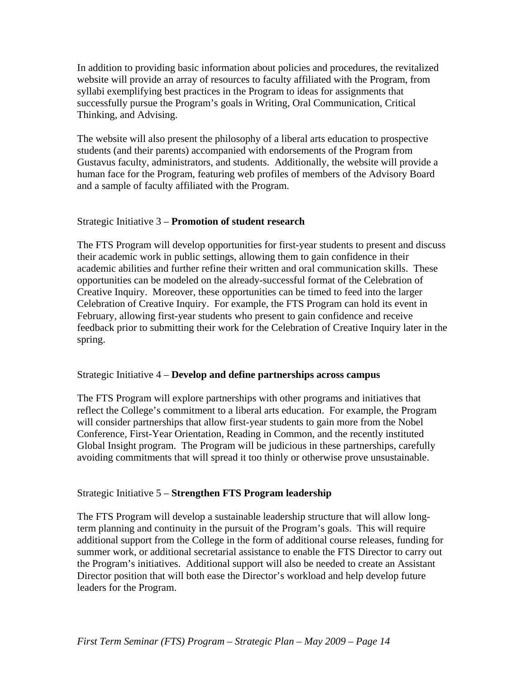In addition to providing basic information about policies and procedures, the revitalized website will provide an array of resources to faculty affiliated with the Program, from syllabi exemplifying best practices in the Program to ideas for assignments that successfully pursue the Program's goals in Writing, Oral Communication, Critical Thinking, and Advising.

The website will also present the philosophy of a liberal arts education to prospective students (and their parents) accompanied with endorsements of the Program from Gustavus faculty, administrators, and students. Additionally, the website will provide a human face for the Program, featuring web profiles of members of the Advisory Board and a sample of faculty affiliated with the Program.

### Strategic Initiative 3 – **Promotion of student research**

The FTS Program will develop opportunities for first-year students to present and discuss their academic work in public settings, allowing them to gain confidence in their academic abilities and further refine their written and oral communication skills. These opportunities can be modeled on the already-successful format of the Celebration of Creative Inquiry. Moreover, these opportunities can be timed to feed into the larger Celebration of Creative Inquiry. For example, the FTS Program can hold its event in February, allowing first-year students who present to gain confidence and receive feedback prior to submitting their work for the Celebration of Creative Inquiry later in the spring.

### Strategic Initiative 4 – **Develop and define partnerships across campus**

The FTS Program will explore partnerships with other programs and initiatives that reflect the College's commitment to a liberal arts education. For example, the Program will consider partnerships that allow first-year students to gain more from the Nobel Conference, First-Year Orientation, Reading in Common, and the recently instituted Global Insight program. The Program will be judicious in these partnerships, carefully avoiding commitments that will spread it too thinly or otherwise prove unsustainable.

## Strategic Initiative 5 – **Strengthen FTS Program leadership**

The FTS Program will develop a sustainable leadership structure that will allow longterm planning and continuity in the pursuit of the Program's goals. This will require additional support from the College in the form of additional course releases, funding for summer work, or additional secretarial assistance to enable the FTS Director to carry out the Program's initiatives. Additional support will also be needed to create an Assistant Director position that will both ease the Director's workload and help develop future leaders for the Program.